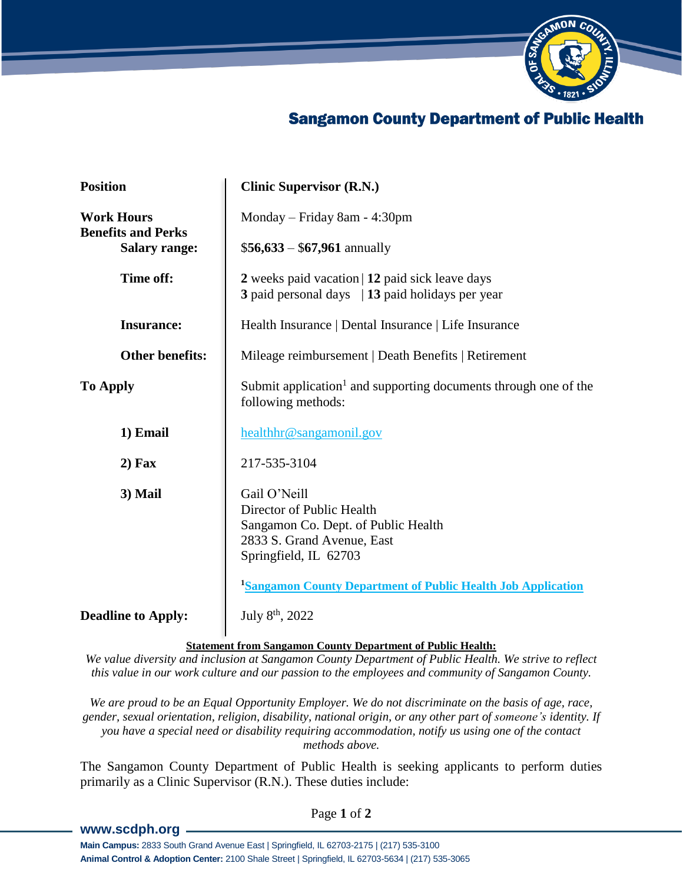

## **Sangamon County Department of Public Health**

| <b>Position</b>                                | <b>Clinic Supervisor (R.N.)</b>                                                                                                         |
|------------------------------------------------|-----------------------------------------------------------------------------------------------------------------------------------------|
| <b>Work Hours</b><br><b>Benefits and Perks</b> | Monday - Friday 8am - 4:30pm                                                                                                            |
| <b>Salary range:</b>                           | $$56,633 - $67,961$ annually                                                                                                            |
| Time off:                                      | 2 weeks paid vacation   12 paid sick leave days<br>3 paid personal days   13 paid holidays per year                                     |
| <b>Insurance:</b>                              | Health Insurance   Dental Insurance   Life Insurance                                                                                    |
| <b>Other benefits:</b>                         | Mileage reimbursement   Death Benefits   Retirement                                                                                     |
| <b>To Apply</b>                                | Submit application <sup>1</sup> and supporting documents through one of the<br>following methods:                                       |
| 1) Email                                       | healthhr@sangamonil.gov                                                                                                                 |
| $2)$ Fax                                       | 217-535-3104                                                                                                                            |
| 3) Mail                                        | Gail O'Neill<br>Director of Public Health<br>Sangamon Co. Dept. of Public Health<br>2833 S. Grand Avenue, East<br>Springfield, IL 62703 |
|                                                | <sup>1</sup> Sangamon County Department of Public Health Job Application                                                                |
| <b>Deadline to Apply:</b>                      | July 8 <sup>th</sup> , 2022                                                                                                             |

**Statement from Sangamon County Department of Public Health:**

*We value diversity and inclusion at Sangamon County Department of Public Health. We strive to reflect this value in our work culture and our passion to the employees and community of Sangamon County.*

We are proud to be an Equal Opportunity Employer. We do not discriminate on the basis of age, race, *gender, sexual orientation, religion, disability, national origin, or any other part of someone's identity. If you have a special need or disability requiring accommodation, notify us using one of the contact methods above.*

The Sangamon County Department of Public Health is seeking applicants to perform duties primarily as a Clinic Supervisor (R.N.). These duties include:

## **[www.scdph.org](http://www.scdph.org/)**

Page **1** of **2**